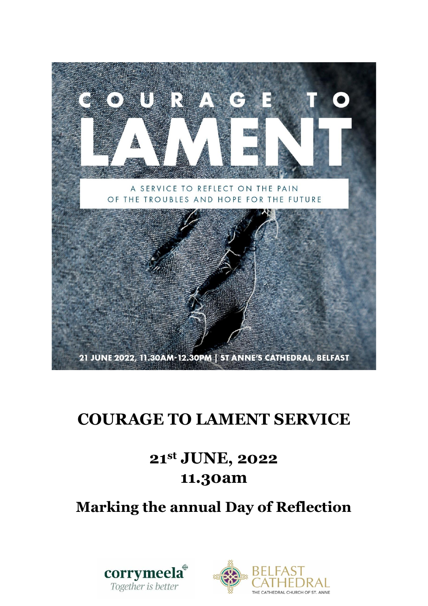

# **COURAGE TO LAMENT SERVICE**

# **21st JUNE, 2022 11.30am**

# **Marking the annual Day of Reflection**



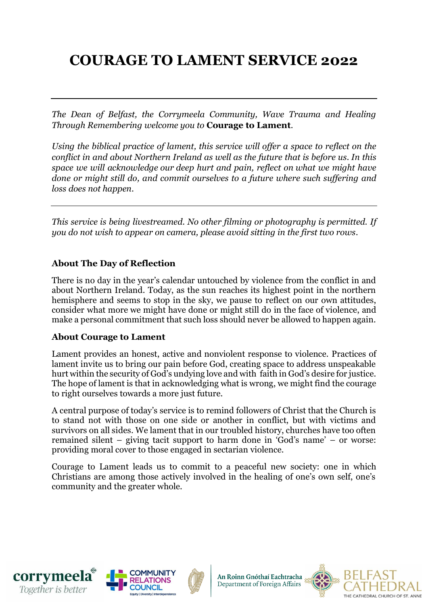# **COURAGE TO LAMENT SERVICE 2022**

*The Dean of Belfast, the Corrymeela Community, Wave Trauma and Healing Through Remembering welcome you to* **Courage to Lament**.

*Using the biblical practice of lament, this service will offer a space to reflect on the conflict in and about Northern Ireland as well as the future that is before us. In this space we will acknowledge our deep hurt and pain, reflect on what we might have done or might still do, and commit ourselves to a future where such suffering and loss does not happen.*

*This service is being livestreamed. No other filming or photography is permitted. If you do not wish to appear on camera, please avoid sitting in the first two rows.*

# **About The Day of Reflection**

There is no day in the year's calendar untouched by violence from the conflict in and about Northern Ireland. Today, as the sun reaches its highest point in the northern hemisphere and seems to stop in the sky, we pause to reflect on our own attitudes, consider what more we might have done or might still do in the face of violence, and make a personal commitment that such loss should never be allowed to happen again.

# **About Courage to Lament**

Lament provides an honest, active and nonviolent response to violence. Practices of lament invite us to bring our pain before God, creating space to address unspeakable hurt within the security of God's undying love and with faith in God's desire for justice. The hope of lament is that in acknowledging what is wrong, we might find the courage to right ourselves towards a more just future.

A central purpose of today's service is to remind followers of Christ that the Church is to stand not with those on one side or another in conflict, but with victims and survivors on all sides. We lament that in our troubled history, churches have too often remained silent – giving tacit support to harm done in 'God's name' – or worse: providing moral cover to those engaged in sectarian violence.

Courage to Lament leads us to commit to a peaceful new society: one in which Christians are among those actively involved in the healing of one's own self, one's community and the greater whole.







An Roinn Gnóthaí Eachtracha Department of Foreign Affairs

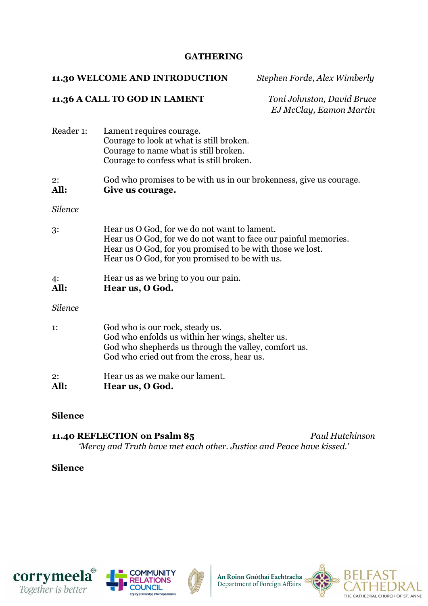#### **GATHERING**

#### **11.30 WELCOME AND INTRODUCTION** *Stephen Forde, Alex Wimberly*

#### **11.36 A CALL TO GOD IN LAMENT** *Toni Johnston, David Bruce*

 *EJ McClay, Eamon Martin*

| Lament requires courage.<br>Courage to look at what is still broken.<br>Courage to name what is still broken.<br>Courage to confess what is still broken.                                                                      |
|--------------------------------------------------------------------------------------------------------------------------------------------------------------------------------------------------------------------------------|
| God who promises to be with us in our brokenness, give us courage.<br>Give us courage.                                                                                                                                         |
|                                                                                                                                                                                                                                |
| Hear us O God, for we do not want to lament.<br>Hear us O God, for we do not want to face our painful memories.<br>Hear us O God, for you promised to be with those we lost.<br>Hear us O God, for you promised to be with us. |
| Hear us as we bring to you our pain.<br>Hear us, O God.                                                                                                                                                                        |
|                                                                                                                                                                                                                                |
| God who is our rock, steady us.<br>God who enfolds us within her wings, shelter us.<br>God who shepherds us through the valley, comfort us.<br>God who cried out from the cross, hear us.                                      |
|                                                                                                                                                                                                                                |

2: Hear us as we make our lament. **All: Hear us, O God.**

# **Silence**

**11.40 REFLECTION on Psalm 85** *Paul Hutchinson 'Mercy and Truth have met each other. Justice and Peace have kissed.'*

# **Silence**







An Roinn Gnóthaí Eachtracha<br>Department of Foreign Affairs

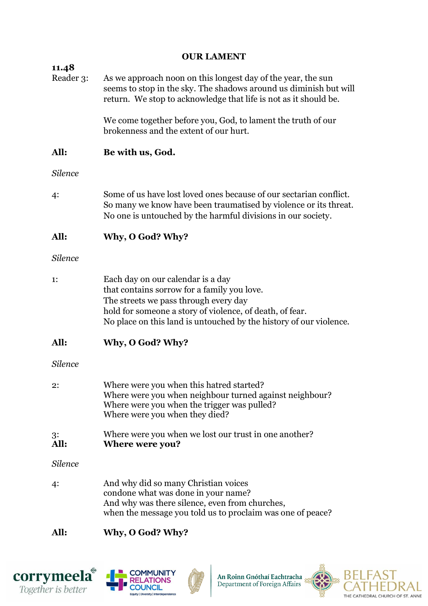| <b>OUR LAMENT</b>  |                                                                                                                                                                                                                                                             |  |
|--------------------|-------------------------------------------------------------------------------------------------------------------------------------------------------------------------------------------------------------------------------------------------------------|--|
| 11.48<br>Reader 3: | As we approach noon on this longest day of the year, the sun<br>seems to stop in the sky. The shadows around us diminish but will<br>return. We stop to acknowledge that life is not as it should be.                                                       |  |
|                    | We come together before you, God, to lament the truth of our<br>brokenness and the extent of our hurt.                                                                                                                                                      |  |
| All:               | Be with us, God.                                                                                                                                                                                                                                            |  |
| <b>Silence</b>     |                                                                                                                                                                                                                                                             |  |
| 4:                 | Some of us have lost loved ones because of our sectarian conflict.<br>So many we know have been traumatised by violence or its threat.<br>No one is untouched by the harmful divisions in our society.                                                      |  |
| All:               | Why, O God? Why?                                                                                                                                                                                                                                            |  |
| <b>Silence</b>     |                                                                                                                                                                                                                                                             |  |
| 1:                 | Each day on our calendar is a day<br>that contains sorrow for a family you love.<br>The streets we pass through every day<br>hold for someone a story of violence, of death, of fear.<br>No place on this land is untouched by the history of our violence. |  |
| All:               | Why, O God? Why?                                                                                                                                                                                                                                            |  |
| <b>Silence</b>     |                                                                                                                                                                                                                                                             |  |
| 2:                 | Where were you when this hatred started?<br>Where were you when neighbour turned against neighbour?<br>Where were you when the trigger was pulled?<br>Where were you when they died?                                                                        |  |
| 3:<br>All:         | Where were you when we lost our trust in one another?<br><b>Where were you?</b>                                                                                                                                                                             |  |
| <b>Silence</b>     |                                                                                                                                                                                                                                                             |  |
| 4:                 | And why did so many Christian voices<br>condone what was done in your name?<br>And why was there silence, even from churches,<br>when the message you told us to proclaim was one of peace?                                                                 |  |
| All:               | Why, O God? Why?                                                                                                                                                                                                                                            |  |

# **corrymeela**<sup><sup>*+</sup></sup>
<i>Together* is better</sup></sup>





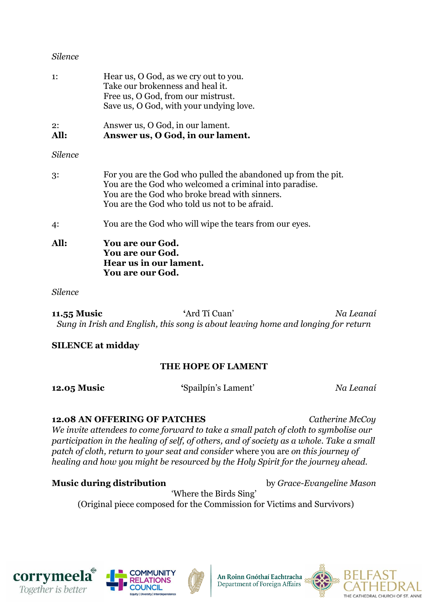#### *Silence*

| All:           | <b>You are our God.</b><br><b>You are our God.</b><br>Hear us in our lament.<br><b>You are our God.</b>                                                                                                                   |
|----------------|---------------------------------------------------------------------------------------------------------------------------------------------------------------------------------------------------------------------------|
| 4:             | You are the God who will wipe the tears from our eyes.                                                                                                                                                                    |
| 3:             | For you are the God who pulled the abandoned up from the pit.<br>You are the God who welcomed a criminal into paradise.<br>You are the God who broke bread with sinners.<br>You are the God who told us not to be afraid. |
| <b>Silence</b> |                                                                                                                                                                                                                           |
| 2:<br>All:     | Answer us, O God, in our lament.<br>Answer us, O God, in our lament.                                                                                                                                                      |
| $\mathbf{1}$ : | Hear us, O God, as we cry out to you.<br>Take our brokenness and heal it.<br>Free us, O God, from our mistrust.<br>Save us, O God, with your undying love.                                                                |

#### *Silence*

**11.55 Music '**Ard Tí Cuan' *Na Leanaí Sung in Irish and English, this song is about leaving home and longing for return*

# **SILENCE at midday**

# **THE HOPE OF LAMENT**

**12.05 Music '**Spailpín's Lament' *Na Leanaí*

**12.08 AN OFFERING OF PATCHES** *Catherine McCoy We invite attendees to come forward to take a small patch of cloth to symbolise our participation in the healing of self, of others, and of society as a whole. Take a small patch of cloth, return to your seat and consider* where you are *on this journey of healing and how you might be resourced by the Holy Spirit for the journey ahead.*

**Music during distribution** by *Grace-Evangeline Mason*

'Where the Birds Sing' (Original piece composed for the Commission for Victims and Survivors)







An Roinn Gnóthaí Eachtracha<br>Department of Foreign Affairs

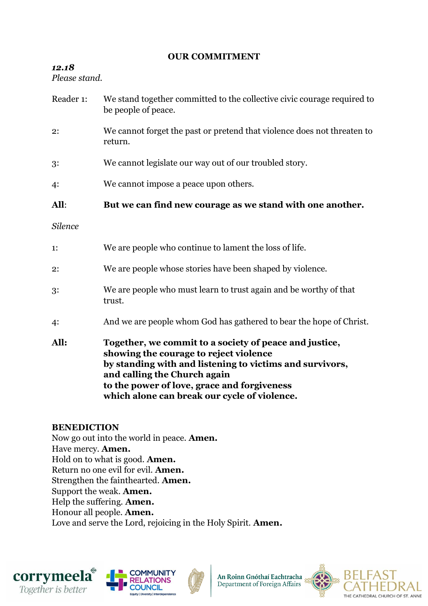# **OUR COMMITMENT**

# *12.18*

*Please stand.*

- Reader 1: We stand together committed to the collective civic courage required to be people of peace.
- 2: We cannot forget the past or pretend that violence does not threaten to return.
- 3: We cannot legislate our way out of our troubled story.
- 4: We cannot impose a peace upon others.

# **All**: **But we can find new courage as we stand with one another.**

- *Silence*
- 1: We are people who continue to lament the loss of life.
- 2: We are people whose stories have been shaped by violence.
- 3: We are people who must learn to trust again and be worthy of that trust.
- 4: And we are people whom God has gathered to bear the hope of Christ.
- **All: Together, we commit to a society of peace and justice, showing the courage to reject violence by standing with and listening to victims and survivors, and calling the Church again to the power of love, grace and forgiveness which alone can break our cycle of violence.**

# **BENEDICTION**

Now go out into the world in peace. **Amen.** Have mercy. **Amen.** Hold on to what is good. **Amen.**  Return no one evil for evil. **Amen.** Strengthen the fainthearted. **Amen.** Support the weak. **Amen.** Help the suffering. **Amen.** Honour all people. **Amen.** Love and serve the Lord, rejoicing in the Holy Spirit. **Amen.**







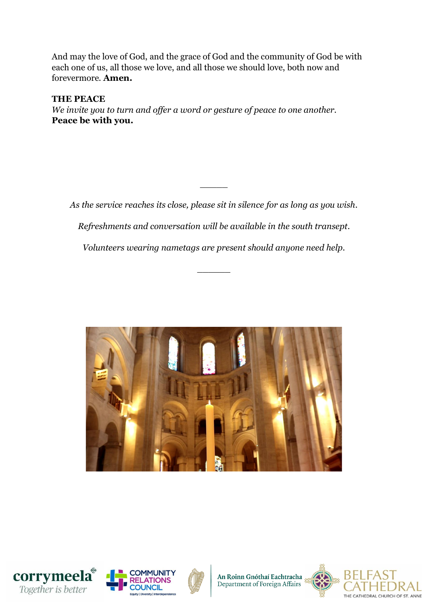And may the love of God, and the grace of God and the community of God be with each one of us, all those we love, and all those we should love, both now and forevermore. **Amen.**

**THE PEACE** *We invite you to turn and offer a word or gesture of peace to one another.* **Peace be with you.** 

*As the service reaches its close, please sit in silence for as long as you wish.* 

 $\overline{\phantom{a}}$ 

*Refreshments and conversation will be available in the south transept.*

*Volunteers wearing nametags are present should anyone need help.*

 $\overline{\phantom{a}}$ 









An Roinn Gnóthaí Eachtracha<br>Department of Foreign Affairs